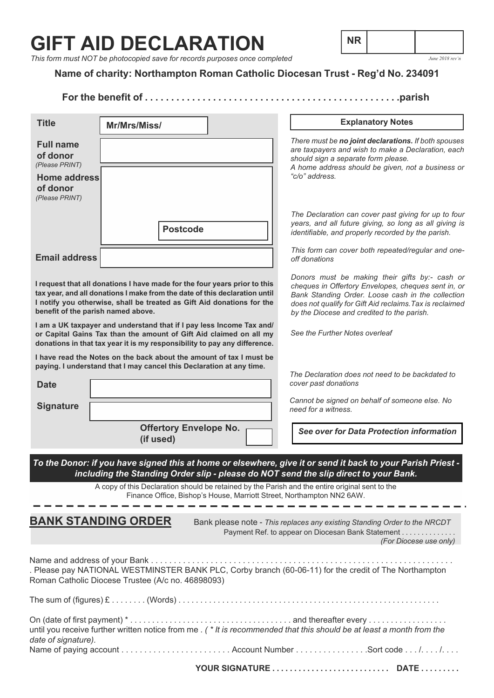# **GIFT AID DECLARATION**



*This form must NOT be photocopied save for records purposes once completed*

## **Name of charity: Northampton Roman Catholic Diocesan Trust - Reg'd No. 234091**

### **For the benefit of . . . . . . . . . . . . . . . . . . . . . . . . . . . . . . . . . . . . . . . . . . . . . . . . .parish**

| <b>Title</b>                                                                                                                                                                                                                                                                                           | Mr/Mrs/Miss/                                                                                                                                |                               | <b>Explanatory Notes</b>                                                                                                                                                                                                                                             |
|--------------------------------------------------------------------------------------------------------------------------------------------------------------------------------------------------------------------------------------------------------------------------------------------------------|---------------------------------------------------------------------------------------------------------------------------------------------|-------------------------------|----------------------------------------------------------------------------------------------------------------------------------------------------------------------------------------------------------------------------------------------------------------------|
| <b>Full name</b><br>of donor<br>(Please PRINT)                                                                                                                                                                                                                                                         |                                                                                                                                             |                               | There must be no joint declarations. If both spouses<br>are taxpayers and wish to make a Declaration, each<br>should sign a separate form please.<br>A home address should be given, not a business or<br>"c/o" address.                                             |
| <b>Home address</b><br>of donor<br>(Please PRINT)                                                                                                                                                                                                                                                      |                                                                                                                                             |                               |                                                                                                                                                                                                                                                                      |
|                                                                                                                                                                                                                                                                                                        | <b>Postcode</b>                                                                                                                             |                               | The Declaration can cover past giving for up to four<br>years, and all future giving, so long as all giving is<br>identifiable, and properly recorded by the parish.                                                                                                 |
| <b>Email address</b>                                                                                                                                                                                                                                                                                   |                                                                                                                                             |                               | This form can cover both repeated/regular and one-<br>off donations                                                                                                                                                                                                  |
| I request that all donations I have made for the four years prior to this<br>tax year, and all donations I make from the date of this declaration until<br>I notify you otherwise, shall be treated as Gift Aid donations for the<br>benefit of the parish named above.                                |                                                                                                                                             |                               | Donors must be making their gifts by:- cash or<br>cheques in Offertory Envelopes, cheques sent in, or<br>Bank Standing Order. Loose cash in the collection<br>does not qualify for Gift Aid reclaims. Tax is reclaimed<br>by the Diocese and credited to the parish. |
| I am a UK taxpayer and understand that if I pay less Income Tax and/<br>or Capital Gains Tax than the amount of Gift Aid claimed on all my<br>donations in that tax year it is my responsibility to pay any difference.                                                                                |                                                                                                                                             |                               | See the Further Notes overleaf                                                                                                                                                                                                                                       |
| <b>Date</b>                                                                                                                                                                                                                                                                                            | I have read the Notes on the back about the amount of tax I must be<br>paying. I understand that I may cancel this Declaration at any time. |                               | The Declaration does not need to be backdated to<br>cover past donations                                                                                                                                                                                             |
| <b>Signature</b>                                                                                                                                                                                                                                                                                       |                                                                                                                                             |                               | Cannot be signed on behalf of someone else. No<br>need for a witness.                                                                                                                                                                                                |
|                                                                                                                                                                                                                                                                                                        | (if used)                                                                                                                                   | <b>Offertory Envelope No.</b> | See over for Data Protection information                                                                                                                                                                                                                             |
| To the Donor: if you have signed this at home or elsewhere, give it or send it back to your Parish Priest -<br>including the Standing Order slip - please do NOT send the slip direct to your Bank.<br>A copy of this Declaration should be retained by the Parish and the entire original sent to the |                                                                                                                                             |                               |                                                                                                                                                                                                                                                                      |
| Finance Office, Bishop's House, Marriott Street, Northampton NN2 6AW.                                                                                                                                                                                                                                  |                                                                                                                                             |                               |                                                                                                                                                                                                                                                                      |
| <b>BANK STANDING ORDER</b><br>Bank please note - This replaces any existing Standing Order to the NRCDT<br>Payment Ref. to appear on Diocesan Bank Statement<br>(For Diocese use only)                                                                                                                 |                                                                                                                                             |                               |                                                                                                                                                                                                                                                                      |
|                                                                                                                                                                                                                                                                                                        | Roman Catholic Diocese Trustee (A/c no. 46898093)                                                                                           |                               | . Please pay NATIONAL WESTMINSTER BANK PLC, Corby branch (60-06-11) for the credit of The Northampton                                                                                                                                                                |
|                                                                                                                                                                                                                                                                                                        |                                                                                                                                             |                               |                                                                                                                                                                                                                                                                      |
| date of signature).                                                                                                                                                                                                                                                                                    |                                                                                                                                             |                               | until you receive further written notice from me . (* It is recommended that this should be at least a month from the                                                                                                                                                |
|                                                                                                                                                                                                                                                                                                        |                                                                                                                                             |                               |                                                                                                                                                                                                                                                                      |
|                                                                                                                                                                                                                                                                                                        |                                                                                                                                             |                               |                                                                                                                                                                                                                                                                      |